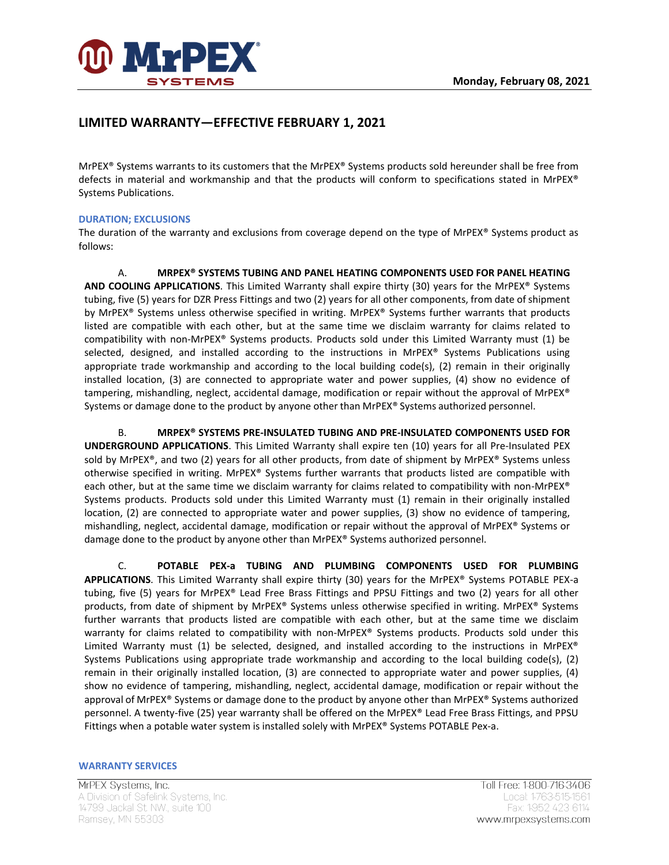

# **LIMITED WARRANTY—EFFECTIVE FEBRUARY 1, 2021**

MrPEX® Systems warrants to its customers that the MrPEX® Systems products sold hereunder shall be free from defects in material and workmanship and that the products will conform to specifications stated in MrPEX® Systems Publications.

## **DURATION; EXCLUSIONS**

The duration of the warranty and exclusions from coverage depend on the type of MrPEX® Systems product as follows:

A. **MRPEX® SYSTEMS TUBING AND PANEL HEATING COMPONENTS USED FOR PANEL HEATING AND COOLING APPLICATIONS**. This Limited Warranty shall expire thirty (30) years for the MrPEX® Systems tubing, five (5) years for DZR Press Fittings and two (2) years for all other components, from date of shipment by MrPEX® Systems unless otherwise specified in writing. MrPEX® Systems further warrants that products listed are compatible with each other, but at the same time we disclaim warranty for claims related to compatibility with non-MrPEX® Systems products. Products sold under this Limited Warranty must (1) be selected, designed, and installed according to the instructions in MrPEX® Systems Publications using appropriate trade workmanship and according to the local building code(s), (2) remain in their originally installed location, (3) are connected to appropriate water and power supplies, (4) show no evidence of tampering, mishandling, neglect, accidental damage, modification or repair without the approval of MrPEX® Systems or damage done to the product by anyone other than MrPEX® Systems authorized personnel.

B. **MRPEX® SYSTEMS PRE-INSULATED TUBING AND PRE-INSULATED COMPONENTS USED FOR UNDERGROUND APPLICATIONS**. This Limited Warranty shall expire ten (10) years for all Pre-Insulated PEX sold by MrPEX®, and two (2) years for all other products, from date of shipment by MrPEX® Systems unless otherwise specified in writing. MrPEX® Systems further warrants that products listed are compatible with each other, but at the same time we disclaim warranty for claims related to compatibility with non-MrPEX® Systems products. Products sold under this Limited Warranty must (1) remain in their originally installed location, (2) are connected to appropriate water and power supplies, (3) show no evidence of tampering, mishandling, neglect, accidental damage, modification or repair without the approval of MrPEX® Systems or damage done to the product by anyone other than MrPEX® Systems authorized personnel.

C. **POTABLE PEX-a TUBING AND PLUMBING COMPONENTS USED FOR PLUMBING APPLICATIONS**. This Limited Warranty shall expire thirty (30) years for the MrPEX® Systems POTABLE PEX-a tubing, five (5) years for MrPEX® Lead Free Brass Fittings and PPSU Fittings and two (2) years for all other products, from date of shipment by MrPEX® Systems unless otherwise specified in writing. MrPEX® Systems further warrants that products listed are compatible with each other, but at the same time we disclaim warranty for claims related to compatibility with non-MrPEX® Systems products. Products sold under this Limited Warranty must (1) be selected, designed, and installed according to the instructions in MrPEX® Systems Publications using appropriate trade workmanship and according to the local building code(s), (2) remain in their originally installed location, (3) are connected to appropriate water and power supplies, (4) show no evidence of tampering, mishandling, neglect, accidental damage, modification or repair without the approval of MrPEX® Systems or damage done to the product by anyone other than MrPEX® Systems authorized personnel. A twenty-five (25) year warranty shall be offered on the MrPEX® Lead Free Brass Fittings, and PPSU Fittings when a potable water system is installed solely with MrPEX® Systems POTABLE Pex-a.

#### **WARRANTY SERVICES**

MrPEX Systems, Inc. A Division of Safelink Systems, Inc. 14799 Jackal St. NW., suite 100 Ramsey, MN 55303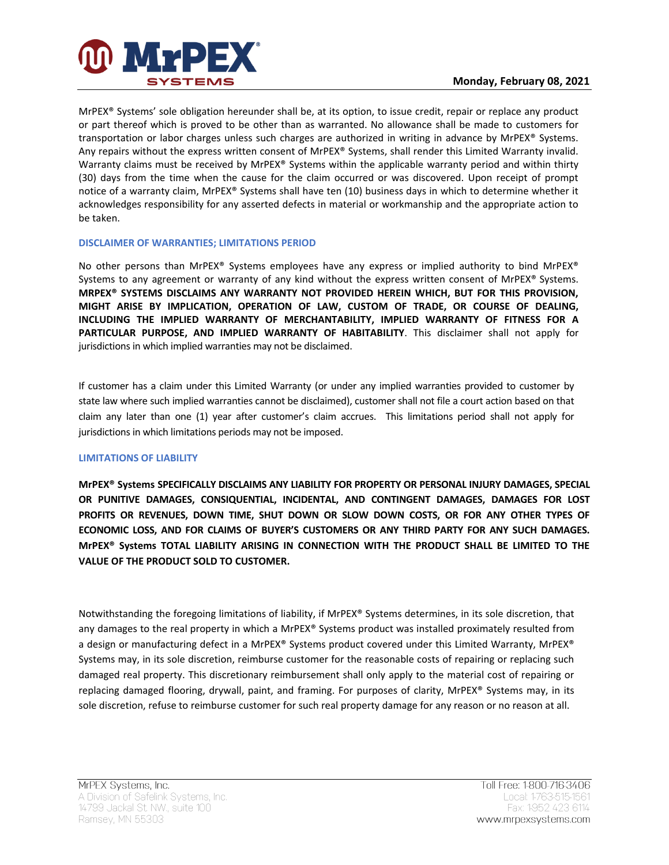

MrPEX® Systems' sole obligation hereunder shall be, at its option, to issue credit, repair or replace any product or part thereof which is proved to be other than as warranted. No allowance shall be made to customers for transportation or labor charges unless such charges are authorized in writing in advance by MrPEX® Systems. Any repairs without the express written consent of MrPEX® Systems, shall render this Limited Warranty invalid. Warranty claims must be received by MrPEX<sup>®</sup> Systems within the applicable warranty period and within thirty (30) days from the time when the cause for the claim occurred or was discovered. Upon receipt of prompt notice of a warranty claim, MrPEX® Systems shall have ten (10) business days in which to determine whether it acknowledges responsibility for any asserted defects in material or workmanship and the appropriate action to be taken.

## **DISCLAIMER OF WARRANTIES; LIMITATIONS PERIOD**

No other persons than MrPEX® Systems employees have any express or implied authority to bind MrPEX® Systems to any agreement or warranty of any kind without the express written consent of MrPEX® Systems. **MRPEX® SYSTEMS DISCLAIMS ANY WARRANTY NOT PROVIDED HEREIN WHICH, BUT FOR THIS PROVISION, MIGHT ARISE BY IMPLICATION, OPERATION OF LAW, CUSTOM OF TRADE, OR COURSE OF DEALING, INCLUDING THE IMPLIED WARRANTY OF MERCHANTABILITY, IMPLIED WARRANTY OF FITNESS FOR A PARTICULAR PURPOSE, AND IMPLIED WARRANTY OF HABITABILITY**. This disclaimer shall not apply for jurisdictions in which implied warranties may not be disclaimed.

If customer has a claim under this Limited Warranty (or under any implied warranties provided to customer by state law where such implied warranties cannot be disclaimed), customer shall not file a court action based on that claim any later than one (1) year after customer's claim accrues. This limitations period shall not apply for jurisdictions in which limitations periods may not be imposed.

## **LIMITATIONS OF LIABILITY**

**MrPEX® Systems SPECIFICALLY DISCLAIMS ANY LIABILITY FOR PROPERTY OR PERSONAL INJURY DAMAGES, SPECIAL OR PUNITIVE DAMAGES, CONSIQUENTIAL, INCIDENTAL, AND CONTINGENT DAMAGES, DAMAGES FOR LOST PROFITS OR REVENUES, DOWN TIME, SHUT DOWN OR SLOW DOWN COSTS, OR FOR ANY OTHER TYPES OF ECONOMIC LOSS, AND FOR CLAIMS OF BUYER'S CUSTOMERS OR ANY THIRD PARTY FOR ANY SUCH DAMAGES. MrPEX® Systems TOTAL LIABILITY ARISING IN CONNECTION WITH THE PRODUCT SHALL BE LIMITED TO THE VALUE OF THE PRODUCT SOLD TO CUSTOMER.**

Notwithstanding the foregoing limitations of liability, if MrPEX® Systems determines, in its sole discretion, that any damages to the real property in which a MrPEX® Systems product was installed proximately resulted from a design or manufacturing defect in a MrPEX® Systems product covered under this Limited Warranty, MrPEX® Systems may, in its sole discretion, reimburse customer for the reasonable costs of repairing or replacing such damaged real property. This discretionary reimbursement shall only apply to the material cost of repairing or replacing damaged flooring, drywall, paint, and framing. For purposes of clarity, MrPEX® Systems may, in its sole discretion, refuse to reimburse customer for such real property damage for any reason or no reason at all.